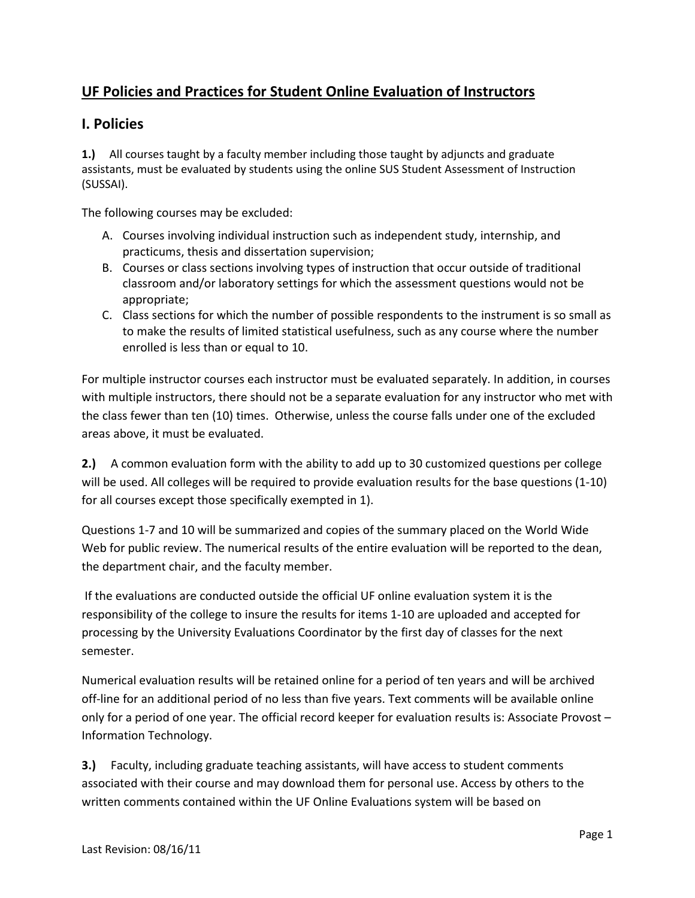## **UF Policies and Practices for Student Online Evaluation of Instructors**

## **I. Policies**

**1.)** All courses taught by a faculty member including those taught by adjuncts and graduate assistants, must be evaluated by students using the online SUS Student Assessment of Instruction (SUSSAI).

The following courses may be excluded:

- A. Courses involving individual instruction such as independent study, internship, and practicums, thesis and dissertation supervision;
- B. Courses or class sections involving types of instruction that occur outside of traditional classroom and/or laboratory settings for which the assessment questions would not be appropriate;
- C. Class sections for which the number of possible respondents to the instrument is so small as to make the results of limited statistical usefulness, such as any course where the number enrolled is less than or equal to 10.

For multiple instructor courses each instructor must be evaluated separately. In addition, in courses with multiple instructors, there should not be a separate evaluation for any instructor who met with the class fewer than ten (10) times. Otherwise, unless the course falls under one of the excluded areas above, it must be evaluated.

**2.)** A common evaluation form with the ability to add up to 30 customized questions per college will be used. All colleges will be required to provide evaluation results for the base questions (1-10) for all courses except those specifically exempted in 1).

Questions 1-7 and 10 will be summarized and copies of the summary placed on the World Wide Web for public review. The numerical results of the entire evaluation will be reported to the dean, the department chair, and the faculty member.

If the evaluations are conducted outside the official UF online evaluation system it is the responsibility of the college to insure the results for items 1-10 are uploaded and accepted for processing by the University Evaluations Coordinator by the first day of classes for the next semester.

Numerical evaluation results will be retained online for a period of ten years and will be archived off-line for an additional period of no less than five years. Text comments will be available online only for a period of one year. The official record keeper for evaluation results is: Associate Provost – Information Technology.

**3.)** Faculty, including graduate teaching assistants, will have access to student comments associated with their course and may download them for personal use. Access by others to the written comments contained within the UF Online Evaluations system will be based on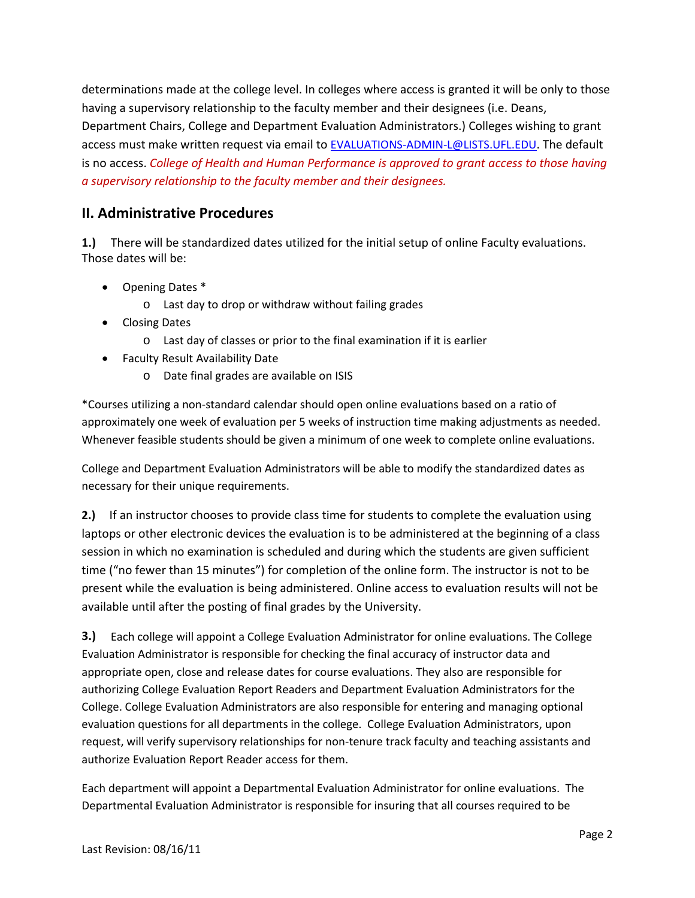determinations made at the college level. In colleges where access is granted it will be only to those having a supervisory relationship to the faculty member and their designees (i.e. Deans, Department Chairs, College and Department Evaluation Administrators.) Colleges wishing to grant access must make written request via email to [EVALUATIONS-ADMIN-L@LISTS.UFL.EDU.](mailto:EVALUATIONS-ADMIN-L@LISTS.UFL.EDU) The default is no access. *College of Health and Human Performance is approved to grant access to those having a supervisory relationship to the faculty member and their designees.*

## **II. Administrative Procedures**

**1.)** There will be standardized dates utilized for the initial setup of online Faculty evaluations. Those dates will be:

- Opening Dates \*
	- o Last day to drop or withdraw without failing grades
- Closing Dates
	- o Last day of classes or prior to the final examination if it is earlier
- Faculty Result Availability Date
	- o Date final grades are available on ISIS

\*Courses utilizing a non-standard calendar should open online evaluations based on a ratio of approximately one week of evaluation per 5 weeks of instruction time making adjustments as needed. Whenever feasible students should be given a minimum of one week to complete online evaluations.

College and Department Evaluation Administrators will be able to modify the standardized dates as necessary for their unique requirements.

**2.)** If an instructor chooses to provide class time for students to complete the evaluation using laptops or other electronic devices the evaluation is to be administered at the beginning of a class session in which no examination is scheduled and during which the students are given sufficient time ("no fewer than 15 minutes") for completion of the online form. The instructor is not to be present while the evaluation is being administered. Online access to evaluation results will not be available until after the posting of final grades by the University.

**3.)** Each college will appoint a College Evaluation Administrator for online evaluations. The College Evaluation Administrator is responsible for checking the final accuracy of instructor data and appropriate open, close and release dates for course evaluations. They also are responsible for authorizing College Evaluation Report Readers and Department Evaluation Administrators for the College. College Evaluation Administrators are also responsible for entering and managing optional evaluation questions for all departments in the college. College Evaluation Administrators, upon request, will verify supervisory relationships for non-tenure track faculty and teaching assistants and authorize Evaluation Report Reader access for them.

Each department will appoint a Departmental Evaluation Administrator for online evaluations. The Departmental Evaluation Administrator is responsible for insuring that all courses required to be